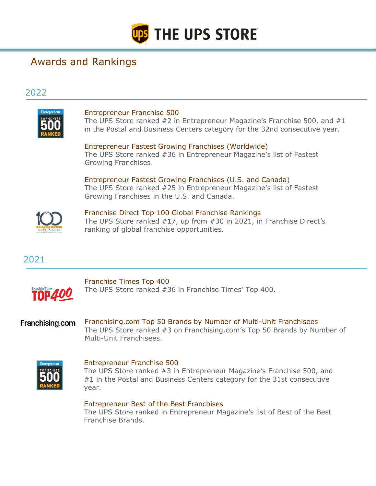

# Awards and Rankings

## 2022



## Entrepreneur Franchise 500

The UPS Store ranked #2 in Entrepreneur Magazine's Franchise 500, and #1 in the Postal and Business Centers category for the 32nd consecutive year.

Entrepreneur Fastest Growing Franchises (Worldwide) The UPS Store ranked #36 in Entrepreneur Magazine's list of Fastest Growing Franchises.

Entrepreneur Fastest Growing Franchises (U.S. and Canada) The UPS Store ranked #25 in Entrepreneur Magazine's list of Fastest Growing Franchises in the U.S. and Canada.



Franchise Direct Top 100 Global Franchise Rankings The UPS Store ranked #17, up from #30 in 2021, in Franchise Direct's ranking of global franchise opportunities.

2021



Franchise Times Top 400 The UPS Store ranked #36 in Franchise Times' Top 400.

Franchising.com Franchising.com Top 50 Brands by Number of Multi-Unit Franchisees The UPS Store ranked #3 on Franchising.com's Top 50 Brands by Number of Multi-Unit Franchisees.



#### Entrepreneur Franchise 500

The UPS Store ranked #3 in Entrepreneur Magazine's Franchise 500, and #1 in the Postal and Business Centers category for the 31st consecutive year.

## Entrepreneur Best of the Best Franchises

The UPS Store ranked in Entrepreneur Magazine's list of Best of the Best Franchise Brands.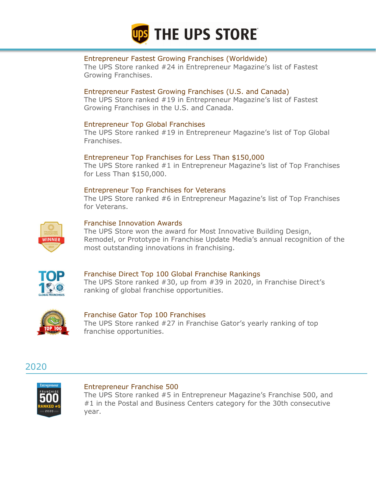

## Entrepreneur Fastest Growing Franchises (Worldwide)

The UPS Store ranked #24 in Entrepreneur Magazine's list of Fastest Growing Franchises.

## Entrepreneur Fastest Growing Franchises (U.S. and Canada)

The UPS Store ranked #19 in Entrepreneur Magazine's list of Fastest Growing Franchises in the U.S. and Canada.

## Entrepreneur Top Global Franchises

The UPS Store ranked #19 in Entrepreneur Magazine's list of Top Global Franchises.

## Entrepreneur Top Franchises for Less Than \$150,000

The UPS Store ranked #1 in Entrepreneur Magazine's list of Top Franchises for Less Than \$150,000.

## Entrepreneur Top Franchises for Veterans

The UPS Store ranked #6 in Entrepreneur Magazine's list of Top Franchises for Veterans.



## Franchise Innovation Awards

The UPS Store won the award for Most Innovative Building Design, Remodel, or Prototype in Franchise Update Media's annual recognition of the most outstanding innovations in franchising.



## Franchise Direct Top 100 Global Franchise Rankings

The UPS Store ranked #30, up from #39 in 2020, in Franchise Direct's ranking of global franchise opportunities.



#### Franchise Gator Top 100 Franchises The UPS Store ranked #27 in Franchise Gator's yearly ranking of top franchise opportunities.





#### Entrepreneur Franchise 500

The UPS Store ranked #5 in Entrepreneur Magazine's Franchise 500, and #1 in the Postal and Business Centers category for the 30th consecutive year.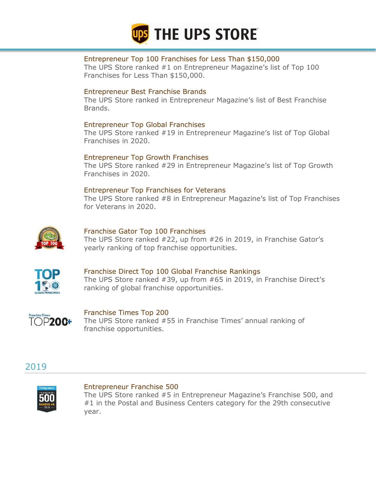

## Entrepreneur Top 100 Franchises for Less Than \$150,000

The UPS Store ranked #1 on Entrepreneur Magazine's list of Top 100 Franchises for Less Than \$150,000.

## Entrepreneur Best Franchise Brands

The UPS Store ranked in Entrepreneur Magazine's list of Best Franchise Brands.

## Entrepreneur Top Global Franchises

The UPS Store ranked #19 in Entrepreneur Magazine's list of Top Global Franchises in 2020.

## Entrepreneur Top Growth Franchises

The UPS Store ranked #29 in Entrepreneur Magazine's list of Top Growth Franchises in 2020.

## Entrepreneur Top Franchises for Veterans

The UPS Store ranked #8 in Entrepreneur Magazine's list of Top Franchises for Veterans in 2020.



## Franchise Gator Top 100 Franchises

The UPS Store ranked #22, up from #26 in 2019, in Franchise Gator's yearly ranking of top franchise opportunities.



## Franchise Direct Top 100 Global Franchise Rankings

The UPS Store ranked #39, up from #65 in 2019, in Franchise Direct's ranking of global franchise opportunities.



# Franchise Times Top 200

The UPS Store ranked #55 in Franchise Times' annual ranking of franchise opportunities.





#### Entrepreneur Franchise 500

The UPS Store ranked #5 in Entrepreneur Magazine's Franchise 500, and #1 in the Postal and Business Centers category for the 29th consecutive year.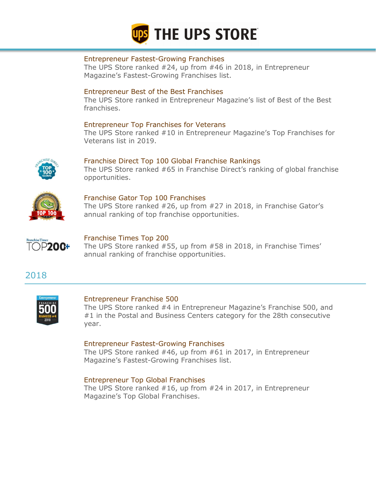

#### Entrepreneur Fastest-Growing Franchises

The UPS Store ranked #24, up from #46 in 2018, in Entrepreneur Magazine's Fastest-Growing Franchises list.

## Entrepreneur Best of the Best Franchises

The UPS Store ranked in Entrepreneur Magazine's list of Best of the Best franchises.

## Entrepreneur Top Franchises for Veterans

The UPS Store ranked #10 in Entrepreneur Magazine's Top Franchises for Veterans list in 2019.



## Franchise Direct Top 100 Global Franchise Rankings

The UPS Store ranked #65 in Franchise Direct's ranking of global franchise opportunities.



## Franchise Gator Top 100 Franchises

The UPS Store ranked #26, up from #27 in 2018, in Franchise Gator's annual ranking of top franchise opportunities.



## Franchise Times Top 200

The UPS Store ranked #55, up from #58 in 2018, in Franchise Times' annual ranking of franchise opportunities.

## 2018



#### Entrepreneur Franchise 500

The UPS Store ranked #4 in Entrepreneur Magazine's Franchise 500, and #1 in the Postal and Business Centers category for the 28th consecutive year.

#### Entrepreneur Fastest-Growing Franchises

The UPS Store ranked #46, up from #61 in 2017, in Entrepreneur Magazine's Fastest-Growing Franchises list.

#### Entrepreneur Top Global Franchises

The UPS Store ranked #16, up from #24 in 2017, in Entrepreneur Magazine's Top Global Franchises.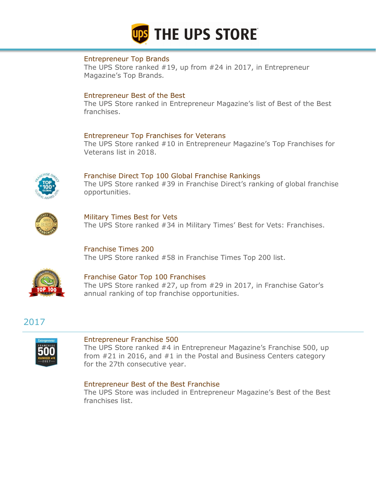

## Entrepreneur Top Brands

The UPS Store ranked #19, up from #24 in 2017, in Entrepreneur Magazine's Top Brands.

## Entrepreneur Best of the Best

The UPS Store ranked in Entrepreneur Magazine's list of Best of the Best franchises.

## Entrepreneur Top Franchises for Veterans

The UPS Store ranked #10 in Entrepreneur Magazine's Top Franchises for Veterans list in 2018.



Franchise Direct Top 100 Global Franchise Rankings The UPS Store ranked #39 in Franchise Direct's ranking of global franchise opportunities.



Military Times Best for Vets The UPS Store ranked #34 in Military Times' Best for Vets: Franchises.

Franchise Times 200 The UPS Store ranked #58 in Franchise Times Top 200 list.



# Franchise Gator Top 100 Franchises

The UPS Store ranked #27, up from #29 in 2017, in Franchise Gator's annual ranking of top franchise opportunities.

## 2017



#### Entrepreneur Franchise 500

The UPS Store ranked #4 in Entrepreneur Magazine's Franchise 500, up from #21 in 2016, and #1 in the Postal and Business Centers category for the 27th consecutive year.

## Entrepreneur Best of the Best Franchise

The UPS Store was included in Entrepreneur Magazine's Best of the Best franchises list.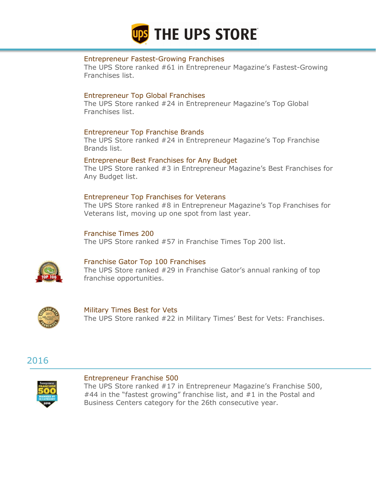

## Entrepreneur Fastest-Growing Franchises

The UPS Store ranked #61 in Entrepreneur Magazine's Fastest-Growing Franchises list.

## Entrepreneur Top Global Franchises

The UPS Store ranked #24 in Entrepreneur Magazine's Top Global Franchises list.

## Entrepreneur Top Franchise Brands

The UPS Store ranked #24 in Entrepreneur Magazine's Top Franchise Brands list.

#### Entrepreneur Best Franchises for Any Budget

The UPS Store ranked #3 in Entrepreneur Magazine's Best Franchises for Any Budget list.

## Entrepreneur Top Franchises for Veterans

The UPS Store ranked #8 in Entrepreneur Magazine's Top Franchises for Veterans list, moving up one spot from last year.

## Franchise Times 200

The UPS Store ranked #57 in Franchise Times Top 200 list.



## Franchise Gator Top 100 Franchises

The UPS Store ranked #29 in Franchise Gator's annual ranking of top franchise opportunities.



Military Times Best for Vets The UPS Store ranked #22 in Military Times' Best for Vets: Franchises.

## 2016



#### Entrepreneur Franchise 500

The UPS Store ranked #17 in Entrepreneur Magazine's Franchise 500, #44 in the "fastest growing" franchise list, and #1 in the Postal and Business Centers category for the 26th consecutive year.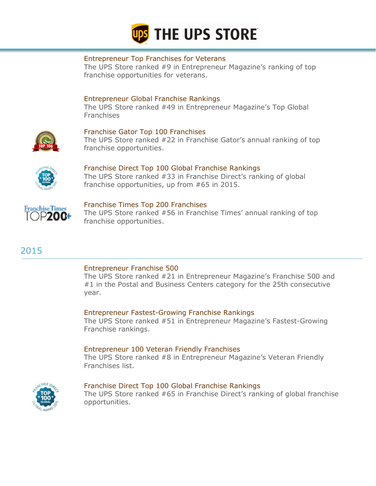

## Entrepreneur Top Franchises for Veterans

The UPS Store ranked #9 in Entrepreneur Magazine's ranking of top franchise opportunities for veterans.

## Entrepreneur Global Franchise Rankings

The UPS Store ranked #49 in Entrepreneur Magazine's Top Global Franchises



## Franchise Gator Top 100 Franchises

The UPS Store ranked #22 in Franchise Gator's annual ranking of top franchise opportunities.



#### Franchise Direct Top 100 Global Franchise Rankings

The UPS Store ranked #33 in Franchise Direct's ranking of global franchise opportunities, up from #65 in 2015.



#### Franchise Times Top 200 Franchises

The UPS Store ranked #56 in Franchise Times' annual ranking of top franchise opportunities.

# 2015

#### Entrepreneur Franchise 500

The UPS Store ranked #21 in Entrepreneur Magazine's Franchise 500 and #1 in the Postal and Business Centers category for the 25th consecutive year.

## Entrepreneur Fastest-Growing Franchise Rankings

The UPS Store ranked #51 in Entrepreneur Magazine's Fastest-Growing Franchise rankings.

#### Entrepreneur 100 Veteran Friendly Franchises

The UPS Store ranked #8 in Entrepreneur Magazine's Veteran Friendly Franchises list.



#### Franchise Direct Top 100 Global Franchise Rankings

The UPS Store ranked #65 in Franchise Direct's ranking of global franchise opportunities.